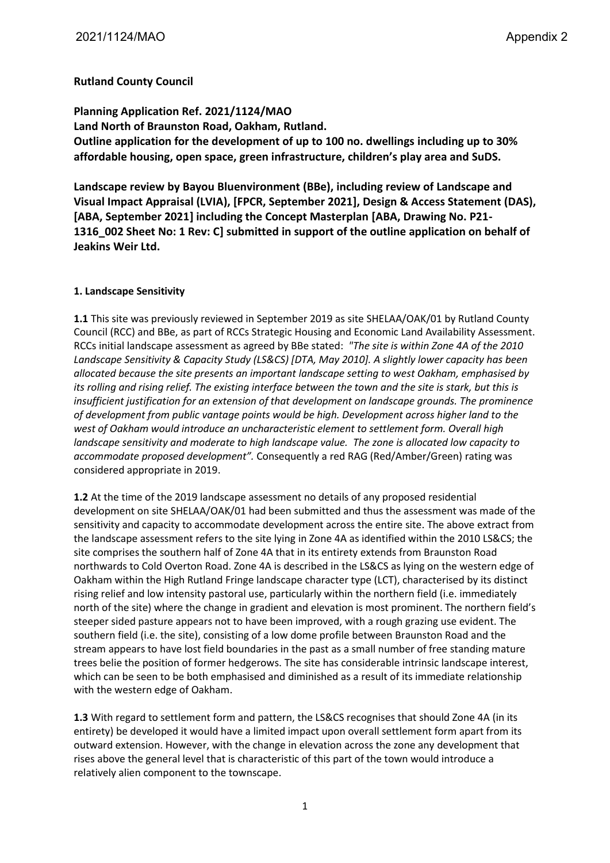## **Rutland County Council**

**Planning Application Ref. 2021/1124/MAO Land North of Braunston Road, Oakham, Rutland. Outline application for the development of up to 100 no. dwellings including up to 30% affordable housing, open space, green infrastructure, children's play area and SuDS.**

**Landscape review by Bayou Bluenvironment (BBe), including review of Landscape and Visual Impact Appraisal (LVIA), [FPCR, September 2021], Design & Access Statement (DAS), [ABA, September 2021] including the Concept Masterplan [ABA, Drawing No. P21- 1316\_002 Sheet No: 1 Rev: C] submitted in support of the outline application on behalf of Jeakins Weir Ltd.** 

## **1. Landscape Sensitivity**

**1.1** This site was previously reviewed in September 2019 as site SHELAA/OAK/01 by Rutland County Council (RCC) and BBe, as part of RCCs Strategic Housing and Economic Land Availability Assessment. RCCs initial landscape assessment as agreed by BBe stated: *"The site is within Zone 4A of the 2010 Landscape Sensitivity & Capacity Study (LS&CS) [DTA, May 2010]. A slightly lower capacity has been allocated because the site presents an important landscape setting to west Oakham, emphasised by its rolling and rising relief. The existing interface between the town and the site is stark, but this is insufficient justification for an extension of that development on landscape grounds. The prominence of development from public vantage points would be high. Development across higher land to the west of Oakham would introduce an uncharacteristic element to settlement form. Overall high landscape sensitivity and moderate to high landscape value. The zone is allocated low capacity to accommodate proposed development".* Consequently a red RAG (Red/Amber/Green) rating was considered appropriate in 2019.

**1.2** At the time of the 2019 landscape assessment no details of any proposed residential development on site SHELAA/OAK/01 had been submitted and thus the assessment was made of the sensitivity and capacity to accommodate development across the entire site. The above extract from the landscape assessment refers to the site lying in Zone 4A as identified within the 2010 LS&CS; the site comprises the southern half of Zone 4A that in its entirety extends from Braunston Road northwards to Cold Overton Road. Zone 4A is described in the LS&CS as lying on the western edge of Oakham within the High Rutland Fringe landscape character type (LCT), characterised by its distinct rising relief and low intensity pastoral use, particularly within the northern field (i.e. immediately north of the site) where the change in gradient and elevation is most prominent. The northern field's steeper sided pasture appears not to have been improved, with a rough grazing use evident. The southern field (i.e. the site), consisting of a low dome profile between Braunston Road and the stream appears to have lost field boundaries in the past as a small number of free standing mature trees belie the position of former hedgerows. The site has considerable intrinsic landscape interest, which can be seen to be both emphasised and diminished as a result of its immediate relationship with the western edge of Oakham.

**1.3** With regard to settlement form and pattern, the LS&CS recognises that should Zone 4A (in its entirety) be developed it would have a limited impact upon overall settlement form apart from its outward extension. However, with the change in elevation across the zone any development that rises above the general level that is characteristic of this part of the town would introduce a relatively alien component to the townscape.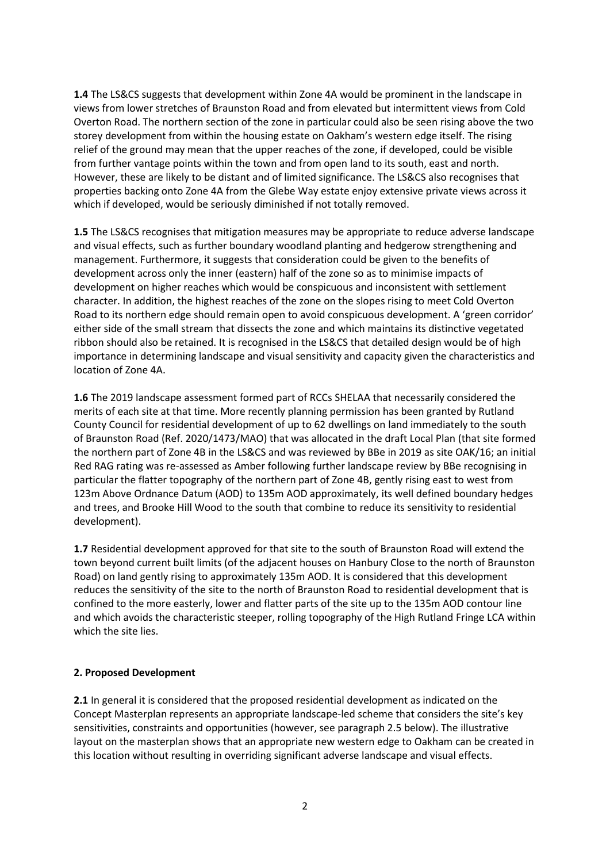**1.4** The LS&CS suggests that development within Zone 4A would be prominent in the landscape in views from lower stretches of Braunston Road and from elevated but intermittent views from Cold Overton Road. The northern section of the zone in particular could also be seen rising above the two storey development from within the housing estate on Oakham's western edge itself. The rising relief of the ground may mean that the upper reaches of the zone, if developed, could be visible from further vantage points within the town and from open land to its south, east and north. However, these are likely to be distant and of limited significance. The LS&CS also recognises that properties backing onto Zone 4A from the Glebe Way estate enjoy extensive private views across it which if developed, would be seriously diminished if not totally removed.

**1.5** The LS&CS recognises that mitigation measures may be appropriate to reduce adverse landscape and visual effects, such as further boundary woodland planting and hedgerow strengthening and management. Furthermore, it suggests that consideration could be given to the benefits of development across only the inner (eastern) half of the zone so as to minimise impacts of development on higher reaches which would be conspicuous and inconsistent with settlement character. In addition, the highest reaches of the zone on the slopes rising to meet Cold Overton Road to its northern edge should remain open to avoid conspicuous development. A 'green corridor' either side of the small stream that dissects the zone and which maintains its distinctive vegetated ribbon should also be retained. It is recognised in the LS&CS that detailed design would be of high importance in determining landscape and visual sensitivity and capacity given the characteristics and location of Zone 4A.

**1.6** The 2019 landscape assessment formed part of RCCs SHELAA that necessarily considered the merits of each site at that time. More recently planning permission has been granted by Rutland County Council for residential development of up to 62 dwellings on land immediately to the south of Braunston Road (Ref. 2020/1473/MAO) that was allocated in the draft Local Plan (that site formed the northern part of Zone 4B in the LS&CS and was reviewed by BBe in 2019 as site OAK/16; an initial Red RAG rating was re-assessed as Amber following further landscape review by BBe recognising in particular the flatter topography of the northern part of Zone 4B, gently rising east to west from 123m Above Ordnance Datum (AOD) to 135m AOD approximately, its well defined boundary hedges and trees, and Brooke Hill Wood to the south that combine to reduce its sensitivity to residential development).

**1.7** Residential development approved for that site to the south of Braunston Road will extend the town beyond current built limits (of the adjacent houses on Hanbury Close to the north of Braunston Road) on land gently rising to approximately 135m AOD. It is considered that this development reduces the sensitivity of the site to the north of Braunston Road to residential development that is confined to the more easterly, lower and flatter parts of the site up to the 135m AOD contour line and which avoids the characteristic steeper, rolling topography of the High Rutland Fringe LCA within which the site lies.

## **2. Proposed Development**

**2.1** In general it is considered that the proposed residential development as indicated on the Concept Masterplan represents an appropriate landscape-led scheme that considers the site's key sensitivities, constraints and opportunities (however, see paragraph 2.5 below). The illustrative layout on the masterplan shows that an appropriate new western edge to Oakham can be created in this location without resulting in overriding significant adverse landscape and visual effects.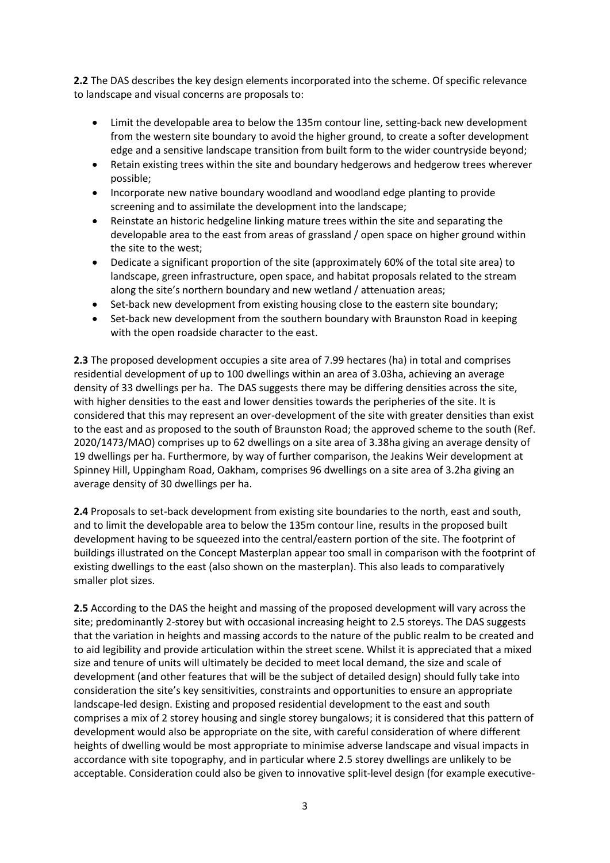**2.2** The DAS describes the key design elements incorporated into the scheme. Of specific relevance to landscape and visual concerns are proposals to:

- Limit the developable area to below the 135m contour line, setting-back new development from the western site boundary to avoid the higher ground, to create a softer development edge and a sensitive landscape transition from built form to the wider countryside beyond;
- Retain existing trees within the site and boundary hedgerows and hedgerow trees wherever possible;
- Incorporate new native boundary woodland and woodland edge planting to provide screening and to assimilate the development into the landscape;
- Reinstate an historic hedgeline linking mature trees within the site and separating the developable area to the east from areas of grassland / open space on higher ground within the site to the west;
- Dedicate a significant proportion of the site (approximately 60% of the total site area) to landscape, green infrastructure, open space, and habitat proposals related to the stream along the site's northern boundary and new wetland / attenuation areas;
- Set-back new development from existing housing close to the eastern site boundary;
- Set-back new development from the southern boundary with Braunston Road in keeping with the open roadside character to the east.

**2.3** The proposed development occupies a site area of 7.99 hectares (ha) in total and comprises residential development of up to 100 dwellings within an area of 3.03ha, achieving an average density of 33 dwellings per ha. The DAS suggests there may be differing densities across the site, with higher densities to the east and lower densities towards the peripheries of the site. It is considered that this may represent an over-development of the site with greater densities than exist to the east and as proposed to the south of Braunston Road; the approved scheme to the south (Ref. 2020/1473/MAO) comprises up to 62 dwellings on a site area of 3.38ha giving an average density of 19 dwellings per ha. Furthermore, by way of further comparison, the Jeakins Weir development at Spinney Hill, Uppingham Road, Oakham, comprises 96 dwellings on a site area of 3.2ha giving an average density of 30 dwellings per ha.

**2.4** Proposals to set-back development from existing site boundaries to the north, east and south, and to limit the developable area to below the 135m contour line, results in the proposed built development having to be squeezed into the central/eastern portion of the site. The footprint of buildings illustrated on the Concept Masterplan appear too small in comparison with the footprint of existing dwellings to the east (also shown on the masterplan). This also leads to comparatively smaller plot sizes.

**2.5** According to the DAS the height and massing of the proposed development will vary across the site; predominantly 2-storey but with occasional increasing height to 2.5 storeys. The DAS suggests that the variation in heights and massing accords to the nature of the public realm to be created and to aid legibility and provide articulation within the street scene. Whilst it is appreciated that a mixed size and tenure of units will ultimately be decided to meet local demand, the size and scale of development (and other features that will be the subject of detailed design) should fully take into consideration the site's key sensitivities, constraints and opportunities to ensure an appropriate landscape-led design. Existing and proposed residential development to the east and south comprises a mix of 2 storey housing and single storey bungalows; it is considered that this pattern of development would also be appropriate on the site, with careful consideration of where different heights of dwelling would be most appropriate to minimise adverse landscape and visual impacts in accordance with site topography, and in particular where 2.5 storey dwellings are unlikely to be acceptable. Consideration could also be given to innovative split-level design (for example executive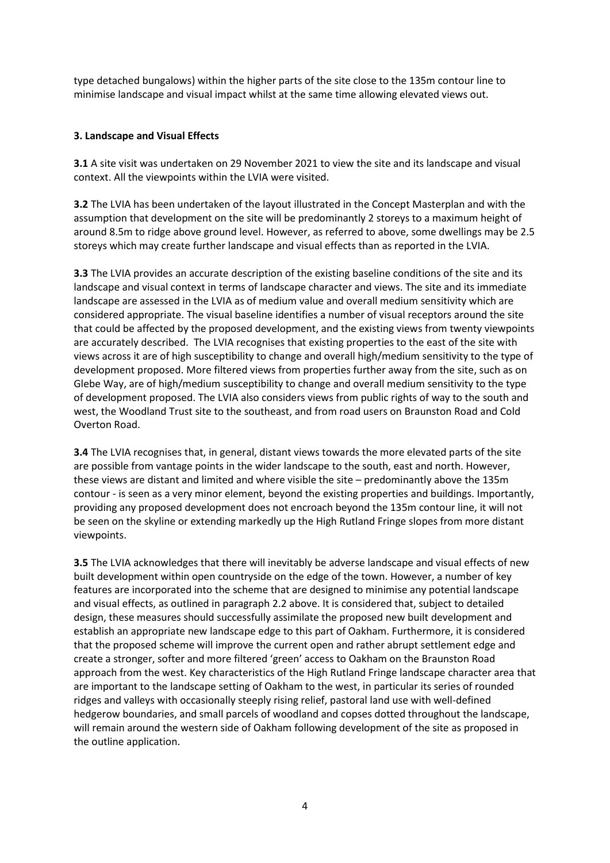type detached bungalows) within the higher parts of the site close to the 135m contour line to minimise landscape and visual impact whilst at the same time allowing elevated views out.

## **3. Landscape and Visual Effects**

**3.1** A site visit was undertaken on 29 November 2021 to view the site and its landscape and visual context. All the viewpoints within the LVIA were visited.

**3.2** The LVIA has been undertaken of the layout illustrated in the Concept Masterplan and with the assumption that development on the site will be predominantly 2 storeys to a maximum height of around 8.5m to ridge above ground level. However, as referred to above, some dwellings may be 2.5 storeys which may create further landscape and visual effects than as reported in the LVIA.

**3.3** The LVIA provides an accurate description of the existing baseline conditions of the site and its landscape and visual context in terms of landscape character and views. The site and its immediate landscape are assessed in the LVIA as of medium value and overall medium sensitivity which are considered appropriate. The visual baseline identifies a number of visual receptors around the site that could be affected by the proposed development, and the existing views from twenty viewpoints are accurately described. The LVIA recognises that existing properties to the east of the site with views across it are of high susceptibility to change and overall high/medium sensitivity to the type of development proposed. More filtered views from properties further away from the site, such as on Glebe Way, are of high/medium susceptibility to change and overall medium sensitivity to the type of development proposed. The LVIA also considers views from public rights of way to the south and west, the Woodland Trust site to the southeast, and from road users on Braunston Road and Cold Overton Road.

**3.4** The LVIA recognises that, in general, distant views towards the more elevated parts of the site are possible from vantage points in the wider landscape to the south, east and north. However, these views are distant and limited and where visible the site – predominantly above the 135m contour - is seen as a very minor element, beyond the existing properties and buildings. Importantly, providing any proposed development does not encroach beyond the 135m contour line, it will not be seen on the skyline or extending markedly up the High Rutland Fringe slopes from more distant viewpoints.

**3.5** The LVIA acknowledges that there will inevitably be adverse landscape and visual effects of new built development within open countryside on the edge of the town. However, a number of key features are incorporated into the scheme that are designed to minimise any potential landscape and visual effects, as outlined in paragraph 2.2 above. It is considered that, subject to detailed design, these measures should successfully assimilate the proposed new built development and establish an appropriate new landscape edge to this part of Oakham. Furthermore, it is considered that the proposed scheme will improve the current open and rather abrupt settlement edge and create a stronger, softer and more filtered 'green' access to Oakham on the Braunston Road approach from the west. Key characteristics of the High Rutland Fringe landscape character area that are important to the landscape setting of Oakham to the west, in particular its series of rounded ridges and valleys with occasionally steeply rising relief, pastoral land use with well-defined hedgerow boundaries, and small parcels of woodland and copses dotted throughout the landscape, will remain around the western side of Oakham following development of the site as proposed in the outline application.